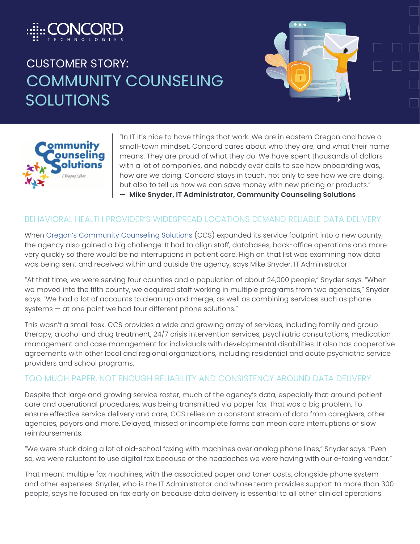

# CUSTOMER STORY: COMMUNITY COUNSELING SOLUTIONS





"In IT it's nice to have things that work. We are in eastern Oregon and have a small-town mindset. Concord cares about who they are, and what their name means. They are proud of what they do. We have spent thousands of dollars with a lot of companies, and nobody ever calls to see how onboarding was, how are we doing. Concord stays in touch, not only to see how we are doing, but also to tell us how we can save money with new pricing or products." **— Mike Snyder, IT Administrator, Community Counseling Solutions**

#### BEHAVIORAL HEALTH PROVIDER'S WIDESPREAD LOCATIONS DEMAND RELIABLE DATA DELIVERY

When Oregon's Community Counseling Solutions (CCS) expanded its service footprint into a new county, the agency also gained a big challenge: It had to align staff, databases, back-office operations and more very quickly so there would be no interruptions in patient care. High on that list was examining how data was being sent and received within and outside the agency, says Mike Snyder, IT Administrator.

"At that time, we were serving four counties and a population of about 24,000 people," Snyder says. "When we moved into the fifth county, we acquired staff working in multiple programs from two agencies," Snyder says. "We had a lot of accounts to clean up and merge, as well as combining services such as phone systems — at one point we had four different phone solutions."

This wasn't a small task. CCS provides a wide and growing array of services, including family and group therapy, alcohol and drug treatment, 24/7 crisis intervention services, psychiatric consultations, medication management and case management for individuals with developmental disabilities. It also has cooperative agreements with other local and regional organizations, including residential and acute psychiatric service providers and school programs.

#### TOO MUCH PAPER, NOT ENOUGH RELIABILITY AND CONSISTENCY AROUND DATA DELIVERY

Despite that large and growing service roster, much of the agency's data, especially that around patient care and operational procedures, was being transmitted via paper fax. That was a big problem. To ensure effective service delivery and care, CCS relies on a constant stream of data from caregivers, other agencies, payors and more. Delayed, missed or incomplete forms can mean care interruptions or slow reimbursements.

"We were stuck doing a lot of old-school faxing with machines over analog phone lines," Snyder says. "Even so, we were reluctant to use digital fax because of the headaches we were having with our e-faxing vendor."

That meant multiple fax machines, with the associated paper and toner costs, alongside phone system and other expenses. Snyder, who is the IT Administrator and whose team provides support to more than 300 people, says he focused on fax early on because data delivery is essential to all other clinical operations.